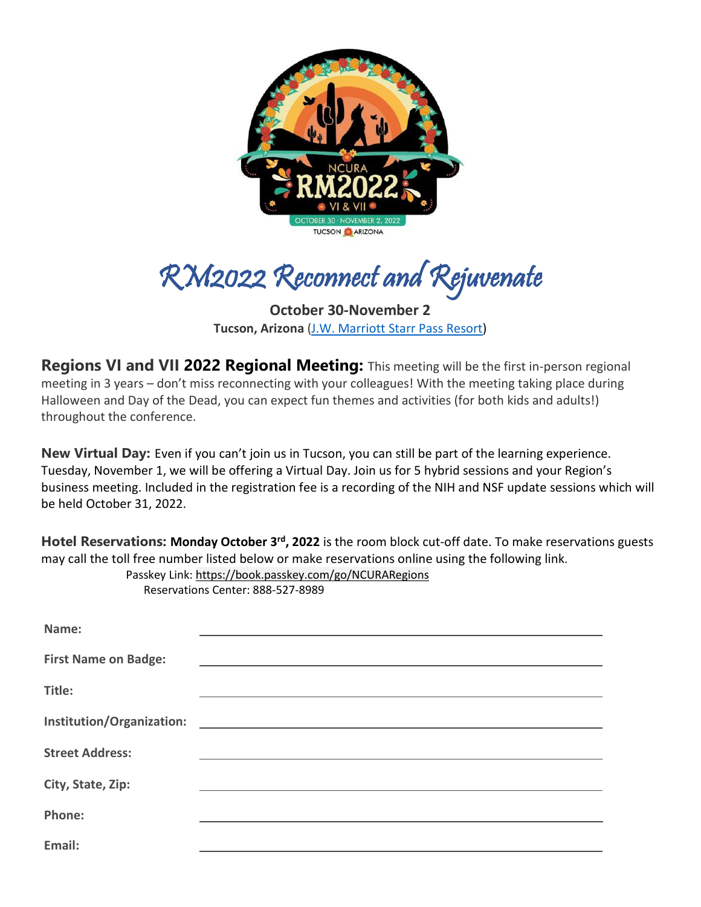

RM2022 Reconnect and Rejuvenate

**October 30-November 2 Tucson, Arizona** [\(J.W. Marriott Starr Pass Resort\)](https://www.marriott.com/en-us/hotels/tussp-jw-marriott-tucson-starr-pass-resort-and-spa/overview/?scid=bb1a189a-fec3-4d19-a255-54ba596febe2&y_source=1_MjkyMTM1MC03MTUtbG9jYXRpb24uZ29vZ2xlX3dlYnNpdGVfb3ZlcnJpZGU%3D)

**Regions VI and VII 2022 Regional Meeting:** This meeting will be the first in-person regional meeting in 3 years – don't miss reconnecting with your colleagues! With the meeting taking place during Halloween and Day of the Dead, you can expect fun themes and activities (for both kids and adults!) throughout the conference.

**New Virtual Day:** Even if you can't join us in Tucson, you can still be part of the learning experience. Tuesday, November 1, we will be offering a Virtual Day. Join us for 5 hybrid sessions and your Region's business meeting. Included in the registration fee is a recording of the NIH and NSF update sessions which will be held October 31, 2022.

**Hotel Reservations: Monday October 3rd, 2022** is the room block cut-off date. To make reservations guests may call the toll free number listed below or make reservations online using the following link. Passkey Link:<https://book.passkey.com/go/NCURARegions>

| Name:                       |  |
|-----------------------------|--|
| <b>First Name on Badge:</b> |  |
| Title:                      |  |
|                             |  |
| <b>Street Address:</b>      |  |
| City, State, Zip:           |  |
|                             |  |
| Phone:                      |  |
| Email:                      |  |

Reservations Center: 888-527-8989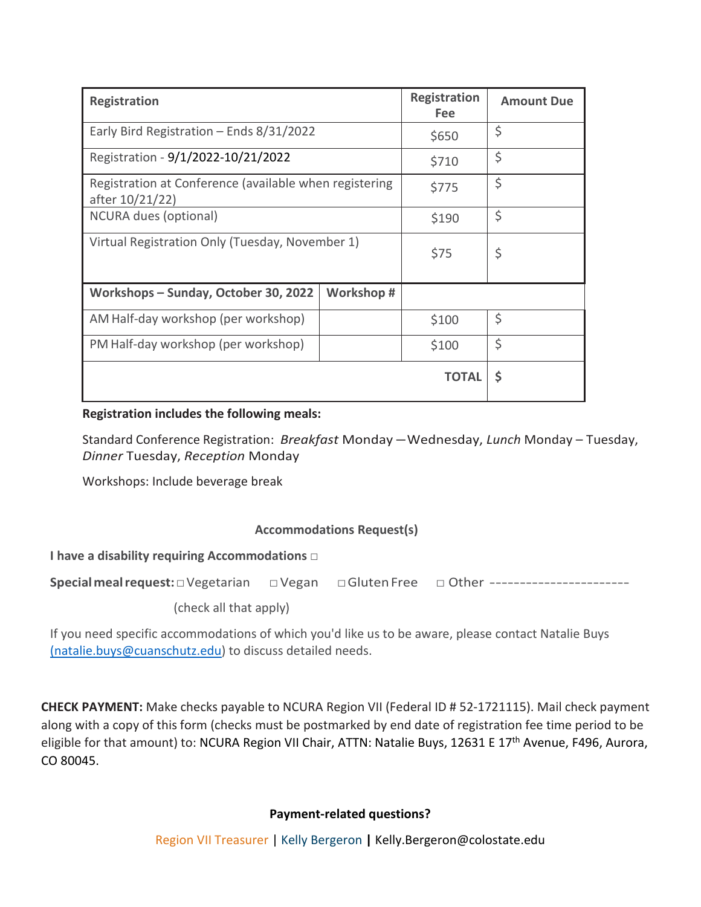| <b>Registration</b>                                                       |       | <b>Registration</b><br><b>Fee</b> | <b>Amount Due</b> |
|---------------------------------------------------------------------------|-------|-----------------------------------|-------------------|
| Early Bird Registration $-$ Ends 8/31/2022                                | \$650 | \$                                |                   |
| Registration - 9/1/2022-10/21/2022                                        | \$710 | \$                                |                   |
| Registration at Conference (available when registering<br>after 10/21/22) | \$775 | \$                                |                   |
| NCURA dues (optional)                                                     | \$190 | \$                                |                   |
| Virtual Registration Only (Tuesday, November 1)                           | \$75  | \$                                |                   |
| Workshops - Sunday, October 30, 2022<br>Workshop#                         |       |                                   |                   |
| AM Half-day workshop (per workshop)                                       |       | \$100                             | \$                |
| PM Half-day workshop (per workshop)                                       |       | \$100                             | \$                |
|                                                                           |       | <b>TOTAL</b>                      | \$                |

### **Registration includes the following meals:**

Standard Conference Registration: *Breakfast* Monday – Wednesday, *Lunch* Monday – Tuesday, *Dinner* Tuesday, *Reception* Monday

Workshops: Include beverage break

### **Accommodations Request(s)**

**I have a disability requiring Accommodations** □

**Specialmealrequest:**□Vegetarian □Vegan □GlutenFree □ Other -----------------------

(check all that apply)

If you need specific accommodations of which you'd like us to be aware, please contact Natalie Buys [\(natalie.buys@cuanschutz.edu\)](mailto:(natalie.buys@cuanschutz.edu) to discuss detailed needs.

**CHECK PAYMENT:** Make checks payable to NCURA Region VII (Federal ID # 52-1721115). Mail check payment along with a copy of this form (checks must be postmarked by end date of registration fee time period to be eligible for that amount) to: NCURA Region VII Chair, ATTN: Natalie Buys, 12631 E 17<sup>th</sup> Avenue, F496, Aurora, CO 80045.

### **Payment-related questions?**

Region VII Treasurer | Kelly Bergeron **|** Kelly.Bergeron@colostate.edu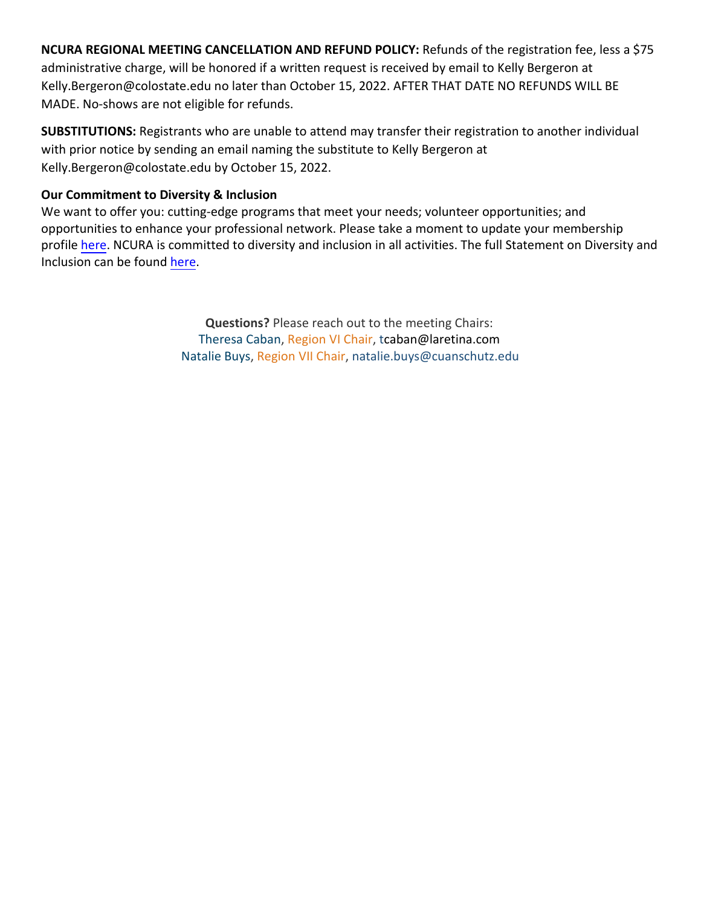**NCURA REGIONAL MEETING CANCELLATION AND REFUND POLICY:** Refunds of the registration fee, less a \$75 administrative charge, will be honored if a written request is received by email to Kelly Bergeron at Kelly.Bergeron@colostate.edu no later than October 15, 2022. AFTER THAT DATE NO REFUNDS WILL BE MADE. No-shows are not eligible for refunds.

**SUBSTITUTIONS:** Registrants who are unable to attend may transfer their registration to another individual with prior notice by sending an email naming the substitute to Kelly Bergeron at Kelly.Bergeron@colostate.edu by October 15, 2022.

# **Our Commitment to Diversity & Inclusion**

We want to offer you: cutting-edge programs that meet your needs; volunteer opportunities; and opportunities to enhance your professional network. Please take a moment to update your membership profile [here.](https://nam01.safelinks.protection.outlook.com/?url=http%3A%2F%2Fr20.rs6.net%2Ftn.jsp%3Ff%3D001VXsA6pv47OUSTmiU2r3NmXJK5-Zk3nPhlXFtg8nUONMw8ya5VbuE9sa0cq-1FvD-Uo9WZ5477AZf5MsqNfPW38auZDUEkxo4sxfKUzB8dNVBS9BJk6agy8eEZM-zGVq9vfLU-HBco6NCPasO8YPLseIBi9bXKfSAPe0Fbv2k3zM-DElUs0Tsq_G8NnGPwN1Af8qByQBBBqf6RjChKX75SQxgK0BIexefzF_v2ih_VUvKXhWgm_SnAI_0MjXT0bk-2ytylxi8Wf2XUiQOGgpOkYLUJ9c_BIowYceiiJ3YN9AkKF2iPveFBWkW7nS2AwNTzmZyv6edpEr7uwv8im2-FN5pWLx-9UjFcZf5GlfbrZZNELZaGHIYEGM-Ub_52hGelT3x9j5apRb9YaN0HUH69yKqJwpmpC3p274Hj0hV7OsFVDnigmNpp9YQx6G3AX-G4ndzEF1-3YkPUCQthea_j1cim9ay3qwQTHdSnje_7tSXCs1PQ_OnKzeT8iEHnjUM6ddq2DC-r5O6h7iXbiSAPXy8392FhXCyDkWS495CmaaDo0Ewu9mgWPso-GNqyCvjlxvGz5KrlGAI2QvfHYmlf-yMxJikxnQeeqAqwyXTkaE%3D%26c%3D0A1ysDM_U6kxn8YgnddcRat2tOtAQ1xyuJEclJj_dASwaxRmZGjtbg%3D%3D%26ch%3DELkz-sne_NNVtdiN9jvxGDDohUNT0YYTrb5qObusVVkc_iokbL-33A%3D%3D&data=02%7C01%7Cliz.grinstead%40colostate.edu%7C22b89da3422f40b540df08d85f2c3960%7Cafb58802ff7a4bb1ab21367ff2ecfc8b%7C0%7C0%7C637363990837569721&sdata=zNBiqRRn4Geu45kaQHBK9qLPsxl3uXjgNqqb5xDHkfk%3D&reserved=0) NCURA is committed to diversity and inclusion in all activities. The full Statement on Diversity and Inclusion can be found [here.](https://nam01.safelinks.protection.outlook.com/?url=http%3A%2F%2Fr20.rs6.net%2Ftn.jsp%3Ff%3D001VXsA6pv47OUSTmiU2r3NmXJK5-Zk3nPhlXFtg8nUONMw8ya5VbuE9sa0cq-1FvD-Iw-ysZvj9bKV5P7PZuU7DAhjrLeB6X2V15sZV14kl3wkEv_vTn3nHB6dwytfdLGYJZDqA9WPpzGbooqp41fXqyK8RX00WepP8klpFly-4eRSVNAeWbOa2iKFpW0AqFwPPmSWWt9jenv4rLq5f_uwC38r_acKfgXrO6MdZFh34NRzqXjpr5iVgiKDxBpUpOIQcLrXKYrYmuhI8nIEjpzclKVYOzvo8Gg0OeQGv8SAubA2VQHu2PHvC4LV384yieR2SS7fHIweYvq2JU9uv8vsmNxX1nSJVguEc4zJCMZMsfikY8nrmCzEMyzLKudAfqseWvd-WJySDSAa_9jVyxDLswaREeLmNleD7a6CBpgirVQkr0ll9iKeNHxf0jGIr9FEVQ_rnn9332E6n9u35noThRxn9nmrEpm4HYM02xWpFLyCs3soczJAN9Nsh4ycRZZIiHE4WbMjbex1Yws0D-hfCQqQmyP8ivyp5yLOwDxyTOATWH2Dn4gq2X1fZRvgl_B-%26c%3D0A1ysDM_U6kxn8YgnddcRat2tOtAQ1xyuJEclJj_dASwaxRmZGjtbg%3D%3D%26ch%3DELkz-sne_NNVtdiN9jvxGDDohUNT0YYTrb5qObusVVkc_iokbL-33A%3D%3D&data=02%7C01%7Cliz.grinstead%40colostate.edu%7C22b89da3422f40b540df08d85f2c3960%7Cafb58802ff7a4bb1ab21367ff2ecfc8b%7C0%7C0%7C637363990837579716&sdata=DonkgPtf1KGJ1GYQiwLJmg0qtq8lkyqVgVT6VCQC8Mw%3D&reserved=0)

> **Questions?** Please reach out to the meeting Chairs: Theresa Caban, Region VI Chair, t[caban@laretina.com](mailto:theresa.caban@lundquist.org)  Natalie Buys, Region VII Chair, [natalie.buys@cuanschutz.edu](mailto:natalie.buys@cuanschutz.edu)